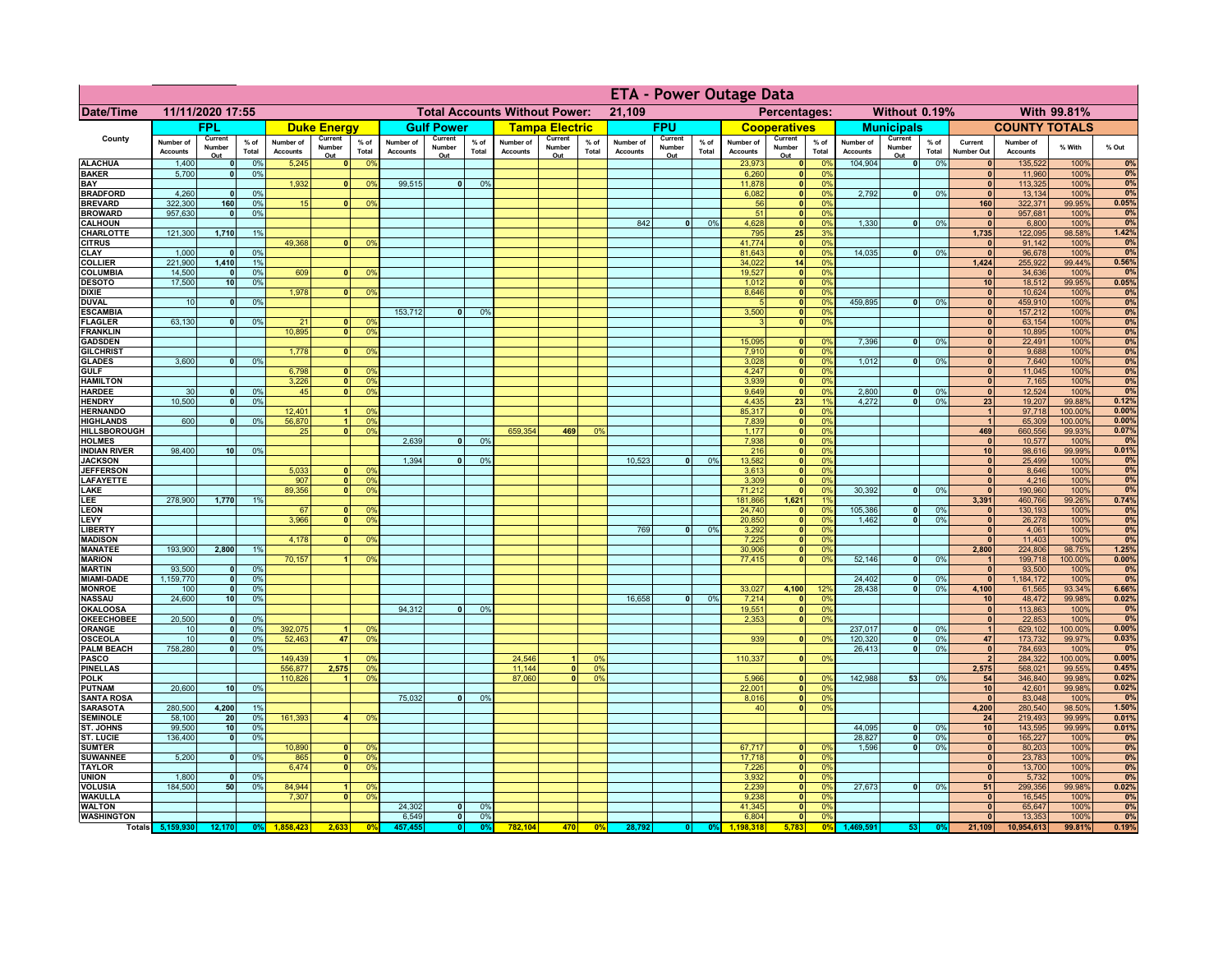|                                      |                              |                                    |                 |                              |                                      |                                  | <b>ETA - Power Outage Data</b> |                               |                 |                              |                          |                |                              |                          |                              |                              |                           |                      |                              |                          |                 |                                 |                              |                   |                |
|--------------------------------------|------------------------------|------------------------------------|-----------------|------------------------------|--------------------------------------|----------------------------------|--------------------------------|-------------------------------|-----------------|------------------------------|--------------------------|----------------|------------------------------|--------------------------|------------------------------|------------------------------|---------------------------|----------------------|------------------------------|--------------------------|-----------------|---------------------------------|------------------------------|-------------------|----------------|
| Date/Time                            | 11/11/2020 17:55             |                                    |                 |                              | <b>Total Accounts Without Power:</b> |                                  |                                |                               |                 | 21,109<br>Percentages:       |                          |                |                              |                          | Without 0.19%<br>With 99.81% |                              |                           |                      |                              |                          |                 |                                 |                              |                   |                |
|                                      |                              | FPL                                |                 |                              | <b>Duke Energy</b>                   |                                  |                                | <b>Gulf Power</b>             |                 |                              | <b>Tampa Electric</b>    |                |                              | <b>FPU</b>               |                              |                              | <b>Cooperatives</b>       |                      |                              | <b>Municipals</b>        |                 |                                 | <b>COUNTY TOTALS</b>         |                   |                |
| County                               | Number of<br><b>Accounts</b> | Current<br>Number<br>Out           | $%$ of<br>Total | Number of<br><b>Accounts</b> | Current<br>Number<br>Out             | $%$ of<br>Total                  | Number of<br><b>Accounts</b>   | Current<br>Number<br>Out      | $%$ of<br>Total | Number of<br><b>Accounts</b> | Current<br>Number<br>Out | % of<br>Total  | Number of<br><b>Accounts</b> | Current<br>Number<br>Out | % of<br>Total                | Number of<br><b>Accounts</b> | Current<br>Number<br>Out  | $%$ of<br>Total      | Number of<br><b>Accounts</b> | Current<br>Number<br>Out | $%$ of<br>Total | Current<br>Number Out           | Number of<br><b>Accounts</b> | % With            | % Out          |
| <b>ALACHUA</b>                       | 1,400                        | $\mathbf{0}$                       | 0%              | 5,245                        | 0                                    | 0 <sup>9</sup>                   |                                |                               |                 |                              |                          |                |                              |                          |                              | 23,973                       | 0                         | 0 <sup>9</sup>       | 104,904                      | $\overline{\bullet}$     | 0%              | 0                               | 135,522                      | 100%              | 0%             |
| <b>BAKER</b><br>BAY                  | 5,700                        | 0                                  | 0%              | 1,932                        | $\mathbf{0}$                         | 0 <sup>9</sup>                   | 99,515                         | $\overline{0}$                | 0%              |                              |                          |                |                              |                          |                              | 6,260<br>11,878              | 0 <br> 0                  | 0 <sup>9</sup><br>0% |                              |                          |                 | $\mathbf{0}$<br>$\mathbf{0}$    | 11,960<br>113,325            | 100%<br>100%      | 0%<br>0%       |
| <b>BRADFORD</b>                      | 4,260                        | $\mathbf{0}$                       | 0%              |                              |                                      |                                  |                                |                               |                 |                              |                          |                |                              |                          |                              | 6,082                        | $\mathbf{0}$              | 0%                   | 2,792                        | 0                        | 0%              | $\Omega$                        | 13,134                       | 100%              | 0%             |
| <b>BREVARD</b>                       | 322,300                      | 160<br>$\mathbf{0}$                | 0%              | 15                           | 0                                    | 0%                               |                                |                               |                 |                              |                          |                |                              |                          |                              | 56                           | 0                         | 0%                   |                              |                          |                 | 160<br>$\mathbf{0}$             | 322,371                      | 99.95%            | 0.05%          |
| <b>BROWARD</b><br><b>CALHOUN</b>     | 957,630                      |                                    | 0%              |                              |                                      |                                  |                                |                               |                 |                              |                          |                | 842                          | $\mathbf{0}$             | 0%                           | 51<br>4,628                  | 0 <br> 0                  | 0%<br>0%             | 1,330                        | -ol                      | 0%              | $\mathbf{0}$                    | 957,681<br>6,800             | 100%<br>100%      | 0%<br>0%       |
| CHARLOTTE                            | 121,300                      | 1,710                              | 1%              |                              |                                      |                                  |                                |                               |                 |                              |                          |                |                              |                          |                              | 795                          | 25                        | 3%                   |                              |                          |                 | 1,735                           | 122,095                      | 98.58%            | 1.42%          |
| <b>CITRUS</b><br><b>CLAY</b>         | 1,000                        | $\mathbf{0}$                       | 0%              | 49,368                       | $\mathbf{0}$                         | 0 <sup>9</sup>                   |                                |                               |                 |                              |                          |                |                              |                          |                              | 41,774<br>81,643             | 0 <br> 0                  | 0%<br>0%             | 14,035                       | -ol                      | 0%              | $\mathbf{0}$<br>$\mathbf{0}$    | 91,142<br>96,678             | 100%<br>100%      | 0%<br>0%       |
| <b>COLLIER</b>                       | 221,900                      | 1,410                              | 1%              |                              |                                      |                                  |                                |                               |                 |                              |                          |                |                              |                          |                              | 34,022                       | 14                        | 0%                   |                              |                          |                 | 1,424                           | 255,922                      | 99.44%            | 0.56%          |
| <b>COLUMBIA</b>                      | 14,500                       | $\mathbf{0}$                       | 0%              | 609                          |                                      | 0 <sup>9</sup>                   |                                |                               |                 |                              |                          |                |                              |                          |                              | 19,527                       | 0                         | 0%                   |                              |                          |                 |                                 | 34,636                       | 100%              | 0%             |
| <b>DESOTO</b><br><b>DIXIE</b>        | 17,500                       | 10                                 | 0%              | 1,978                        | $\mathbf{0}$                         | 0 <sup>9</sup>                   |                                |                               |                 |                              |                          |                |                              |                          |                              | 1,012<br>8,646               | $\pmb{0}$<br>$\mathbf{0}$ | 0%<br>0%             |                              |                          |                 | 10<br>$\mathbf{0}$              | 18,512<br>10,624             | 99.95%<br>100%    | 0.05%<br>0%    |
| <b>DUVAL</b>                         | 10                           | $\mathbf{0}$                       | 0%              |                              |                                      |                                  |                                |                               |                 |                              |                          |                |                              |                          |                              |                              | 0                         | 0%                   | 459,895                      | 0                        | 0%              | $\mathbf{0}$                    | 459,910                      | 100%              | 0%             |
| <b>ESCAMBIA</b>                      |                              |                                    |                 |                              |                                      |                                  | 153,712                        | $\mathbf{0}$                  | 0 <sup>0</sup>  |                              |                          |                |                              |                          |                              | 3,500                        | 0                         | 0%                   |                              |                          |                 | $\mathbf{0}$                    | 157,212                      | 100%              | 0%             |
| <b>FLAGLER</b><br><b>FRANKLIN</b>    | 63,130                       | $\mathbf{0}$                       | 0%              | 21<br>10,895                 | $\mathbf{0}$<br>$\Omega$             | 0 <sup>9</sup><br>0 <sup>9</sup> |                                |                               |                 |                              |                          |                |                              |                          |                              | $\mathbf{B}$                 | 0                         | 0%                   |                              |                          |                 | $\mathbf{0}$<br>$\mathbf{0}$    | 63,154<br>10,895             | 100%<br>100%      | 0%<br>0%       |
| <b>GADSDEN</b>                       |                              |                                    |                 |                              |                                      |                                  |                                |                               |                 |                              |                          |                |                              |                          |                              | 15.095                       | 0                         | 0%                   | 7,396                        | -ol                      | 0%              | 0                               | 22,491                       | 100%              | 0%             |
| <b>GILCHRIST</b>                     |                              |                                    |                 | 1.778                        | $\overline{0}$                       | 0 <sup>9</sup>                   |                                |                               |                 |                              |                          |                |                              |                          |                              | 7,910                        | $\overline{\bullet}$      | 0%                   |                              |                          |                 | $\overline{0}$                  | 9,688                        | 100%              | 0%             |
| <b>GLADES</b><br><b>GULF</b>         | 3,600                        | 0                                  | 0%              | 6,798                        | 0                                    | 0 <sup>9</sup>                   |                                |                               |                 |                              |                          |                |                              |                          |                              | 3,028<br>4,247               | 0 <br> 0                  | 0%<br>0%             | 1,012                        | $\lceil 0 \rceil$        | 0%              | 0 <br> 0                        | 7,640<br>11,045              | 100%<br>100%      | 0%<br>0%       |
| <b>HAMILTON</b>                      |                              |                                    |                 | 3,226                        | 0                                    | 0 <sup>9</sup>                   |                                |                               |                 |                              |                          |                |                              |                          |                              | 3,939                        | 0                         | 0%                   |                              |                          |                 | $\mathbf{0}$                    | 7,165                        | 100%              | 0%             |
| <b>HARDEE</b>                        | 30                           | $\Omega$                           | 0%              | 45                           | $\overline{\mathbf{0}}$              | 0%                               |                                |                               |                 |                              |                          |                |                              |                          |                              | 9,649                        | 0                         | 0%                   | 2,800                        | $\mathbf{0}$             | 0%              | $\mathbf{0}$                    | 12,524                       | 100%              | 0%             |
| <b>HENDRY</b><br><b>HERNANDO</b>     | 10.500                       | $\overline{0}$                     | 0%              | 12,401                       | $\blacktriangleleft$                 | 0 <sup>9</sup>                   |                                |                               |                 |                              |                          |                |                              |                          |                              | 4,435<br>85,317              | 23<br> 0                  | 1%<br>0%             | 4.272                        | $\overline{0}$           | 0%              | 23<br>1                         | 19,207<br>97,718             | 99.88%<br>100.00% | 0.12%<br>0.00% |
| <b>HIGHLANDS</b>                     | 600                          | $\Omega$                           | 0 <sup>9</sup>  | 56,870                       | 1                                    | 0 <sup>9</sup>                   |                                |                               |                 |                              |                          |                |                              |                          |                              | 7,839                        | 0                         | 0%                   |                              |                          |                 | 1                               | 65,309                       | 100.00%           | 0.00%          |
| HILLSBOROUGH                         |                              |                                    |                 | 25                           | $\mathbf{0}$                         | 0 <sup>9</sup>                   |                                |                               |                 | 659,354                      | 469                      | 0%             |                              |                          |                              | 1,177                        | 0                         | 0%                   |                              |                          |                 | 469                             | 660,556                      | 99.93%            | 0.07%          |
| <b>HOLMES</b><br><b>INDIAN RIVER</b> | 98,400                       | 10 <sub>1</sub>                    | 0%              |                              |                                      |                                  | 2,639                          |                               | 0%              |                              |                          |                |                              |                          |                              | 7,938<br>216                 | 0 <br> 0                  | 0%<br>0%             |                              |                          |                 | $\mathbf{0}$<br>10 <sup>1</sup> | 10,577<br>98,616             | 100%<br>99.99%    | 0%<br>0.01%    |
| <b>JACKSON</b>                       |                              |                                    |                 |                              |                                      |                                  | 1,394                          |                               | 0%              |                              |                          |                | 10,523                       | 0                        | 0%                           | 13,582                       | 0                         | 0%                   |                              |                          |                 | 0                               | 25,499                       | 100%              | 0%             |
| <b>JEFFERSON</b>                     |                              |                                    |                 | 5,033                        | n١                                   | 0 <sup>9</sup>                   |                                |                               |                 |                              |                          |                |                              |                          |                              | 3,613                        | 0                         | 0%                   |                              |                          |                 | 0                               | 8,646                        | 100%              | 0%             |
| <b>LAFAYETTE</b><br>LAKE             |                              |                                    |                 | 907<br>89,356                | 0<br>$\mathbf{0}$                    | 0 <sup>9</sup><br>0 <sup>9</sup> |                                |                               |                 |                              |                          |                |                              |                          |                              | 3,309<br>71,212              | 0 <br> 0                  | 0%<br>0%             | 30,392                       | $\overline{0}$           | 0%              | $\mathbf{0}$<br> 0              | 4,216<br>190,960             | 100%<br>100%      | 0%<br>0%       |
| LEE                                  | 278,900                      | 1,770                              | 1%              |                              |                                      |                                  |                                |                               |                 |                              |                          |                |                              |                          |                              | 181,866                      | 1,621                     | 1%                   |                              |                          |                 | 3,391                           | 460,766                      | 99.26%            | 0.74%          |
| <b>LEON</b>                          |                              |                                    |                 | 67                           | $\mathbf{0}$                         | 0 <sup>9</sup>                   |                                |                               |                 |                              |                          |                |                              |                          |                              | 24,740                       | $\mathbf{0}$              | 0%                   | 105,386                      | - O I                    | 0%              | 0                               | 130,193                      | 100%              | 0%             |
| LEVY<br><b>LIBERTY</b>               |                              |                                    |                 | 3,966                        | $\overline{0}$                       | 0 <sup>9</sup>                   |                                |                               |                 |                              |                          |                | 769                          | 0                        | 0%                           | 20,850                       | $\mathbf{0}$<br> 0        | 0%<br>0%             | 1,462                        | 0                        | 0%              | 0 <br> 0                        | 26,278<br>4,061              | 100%<br>100%      | 0%<br>0%       |
| <b>MADISON</b>                       |                              |                                    |                 | 4,178                        | $\Omega$                             | 0 <sup>9</sup>                   |                                |                               |                 |                              |                          |                |                              |                          |                              | 3,292<br>7,225               | 0                         | 0%                   |                              |                          |                 | 0                               | 11,403                       | 100%              | 0%             |
| <b>MANATEE</b>                       | 193,900                      | 2,800                              | 1%              |                              |                                      |                                  |                                |                               |                 |                              |                          |                |                              |                          |                              | 30,906                       | 0                         | 0%                   |                              |                          |                 | 2,800                           | 224,806                      | 98.75%            | 1.25%          |
| <b>MARION</b><br><b>MARTIN</b>       | 93,500                       | 0                                  | 0%              | 70,157                       | 11                                   | 0%                               |                                |                               |                 |                              |                          |                |                              |                          |                              | 77,415                       | 0                         | 0%                   | 52,146                       | 0                        | 0%              | $\mathbf{1}$<br> 0              | 199,718<br>93,500            | 100.00%<br>100%   | 0.00%<br>0%    |
| <b>MIAMI-DADE</b>                    | 1,159,770                    | 0                                  | 0%              |                              |                                      |                                  |                                |                               |                 |                              |                          |                |                              |                          |                              |                              |                           |                      | 24,402                       | 0                        | 0%              | 0                               | 1,184,172                    | 100%              | 0%             |
| <b>MONROE</b>                        | 100                          | 0                                  | 0%              |                              |                                      |                                  |                                |                               |                 |                              |                          |                |                              |                          |                              | 33,027                       | 4,100                     | 12%                  | 28,438                       | - O I                    | 0%              | 4,100                           | 61,565                       | 93.34%            | 6.66%          |
| <b>NASSAU</b><br><b>OKALOOSA</b>     | 24,600                       | 10                                 | 0%              |                              |                                      |                                  | 94,312                         | 0                             | 0%              |                              |                          |                | 16,658                       | 0                        | 0%                           | 7,214<br>19,551              | 0                         | 0%<br>0%             |                              |                          |                 | 10                              | 48,472<br>113,863            | 99.98%            | 0.02%<br>0%    |
| <b>OKEECHOBEE</b>                    | 20,500                       | - O I                              | 0%              |                              |                                      |                                  |                                |                               |                 |                              |                          |                |                              |                          |                              | 2,353                        | 0 <br> 0                  | 0%                   |                              |                          |                 | 0 <br> 0                        | 22,853                       | 100%<br>100%      | 0%             |
| <b>ORANGE</b>                        | 10                           | 0                                  | 0%              | 392,075                      | 1                                    | 0 <sup>9</sup>                   |                                |                               |                 |                              |                          |                |                              |                          |                              |                              |                           |                      | 237,017                      | 0                        | 0%              | 1                               | 629,102                      | 100.00%           | 0.00%          |
| <b>OSCEOLA</b>                       | 10                           | - O I                              | 0%              | 52,463                       | 47                                   | 0 <sup>9</sup>                   |                                |                               |                 |                              |                          |                |                              |                          |                              | 939                          | 0                         | 0%                   | 120,320                      | 0 <br>-ol                | 0%<br>0%        | 47                              | 173,732                      | 99.97%            | 0.03%<br>0%    |
| <b>PALM BEACH</b><br><b>PASCO</b>    | 758,280                      | $\overline{\mathbf{0}}$            | 0%              | 149,439                      | -1                                   | 0 <sup>9</sup>                   |                                |                               |                 | 24,546                       |                          | 0 <sup>9</sup> |                              |                          |                              | 110,337                      | 0                         | 0%                   | 26,413                       |                          |                 | 0 <br>$\mathbf{2}$              | 784,693<br>284,322           | 100%<br>100.00%   | 0.00%          |
| <b>PINELLAS</b>                      |                              |                                    |                 | 556,877                      | 2,575                                | 0 <sup>9</sup>                   |                                |                               |                 | 11,144                       | $\mathbf{0}$             | 0 <sup>9</sup> |                              |                          |                              |                              |                           |                      |                              |                          |                 | 2,575                           | 568,021                      | 99.55%            | 0.45%          |
| <b>POLK</b><br><b>PUTNAM</b>         | 20,600                       |                                    | 0%              | 110,826                      | 1                                    | 0 <sup>9</sup>                   |                                |                               |                 | 87,060                       | $\Omega$                 | 0 <sup>9</sup> |                              |                          |                              | 5,966<br>22,001              | 0                         | $\Omega$<br>0%       | 142,988                      | 53                       | 0%              | 54<br>10                        | 346,840                      | 99.98%            | 0.02%<br>0.02% |
| <b>SANTA ROSA</b>                    |                              | 10                                 |                 |                              |                                      |                                  | 75,032                         | $\mathbf{0}$                  | 0%              |                              |                          |                |                              |                          |                              | 8,016                        | 0 <br> 0                  | 0%                   |                              |                          |                 | $\mathbf{0}$                    | 42,601<br>83,048             | 99.98%<br>100%    | 0%             |
| <b>SARASOTA</b>                      | 280,500                      | 4,200                              | 1%              |                              |                                      |                                  |                                |                               |                 |                              |                          |                |                              |                          |                              | 40                           | 0                         | 0%                   |                              |                          |                 | 4,200                           | 280,540                      | 98.50%            | 1.50%          |
| <b>SEMINOLE</b><br>ST. JOHNS         | 58,100<br>99,500             | 20 <sup>1</sup><br>10 <sub>1</sub> | 0%<br>0%        | 161,393                      |                                      | 0 <sup>9</sup>                   |                                |                               |                 |                              |                          |                |                              |                          |                              |                              |                           |                      | 44,095                       | $\mathbf{0}$             | 0%              | 24<br>10                        | 219,493<br>143,595           | 99.99%<br>99.99%  | 0.01%<br>0.01% |
| <b>ST. LUCIE</b>                     | 136,400                      | $\mathbf{0}$                       | 0%              |                              |                                      |                                  |                                |                               |                 |                              |                          |                |                              |                          |                              |                              |                           |                      | 28,827                       | 0                        | 0%              | 0                               | 165,227                      | 100%              | 0%             |
| <b>SUMTER</b>                        |                              |                                    |                 | 10,890                       |                                      | 0 <sup>6</sup>                   |                                |                               |                 |                              |                          |                |                              |                          |                              | 67,717<br>17,718             | $\mathbf{0}$              | 0 <sup>9</sup>       | 1,596                        | $\overline{0}$           | 0%              | 0                               | 80,203                       | 100%              | 0%             |
| <b>SUWANNEE</b>                      | 5,200                        | $\mathbf{0}$                       | 0%              | 865                          | $\mathbf{0}$<br>$\mathbf{a}$         | 0 <sup>9</sup><br>0 <sup>9</sup> |                                |                               |                 |                              |                          |                |                              |                          |                              |                              | 0                         | 0%<br>0%             |                              |                          |                 | $\mathbf{0}$<br>$\mathbf{0}$    | 23,783                       | 100%              | 0%             |
| <b>TAYLOR</b><br><b>UNION</b>        | 1,800                        | $\mathbf 0$                        | 0%              | 6,474                        |                                      |                                  |                                |                               |                 |                              |                          |                |                              |                          |                              | 7,226<br>3,932               | 0 <br> 0                  | 0%                   |                              |                          |                 | $\mathbf{0}$                    | 13,700<br>5,732              | 100%<br>100%      | 0%<br>0%       |
| <b>VOLUSIA</b>                       | 184,500                      | 50                                 | 0%              | 84,944                       |                                      | 0 <sup>9</sup>                   |                                |                               |                 |                              |                          |                |                              |                          |                              | 2,239                        | 0                         | 0%                   | 27,673                       | 0                        | 0%              | 51                              | 299,356                      | 99.98%            | 0.02%          |
| <b>WAKULLA</b>                       |                              |                                    |                 | 7,307                        | $\Omega$                             | 0 <sup>9</sup>                   | 24,302                         |                               |                 |                              |                          |                |                              |                          |                              | 9,238<br>41,345              | 0                         | 0%<br>0%             |                              |                          |                 | $\mathbf{0}$                    | 16,545                       | 100%<br>100%      | 0%             |
| <b>WALTON</b><br><b>WASHINGTON</b>   |                              |                                    |                 |                              |                                      |                                  | 6,549                          | 0 <br>$\overline{\mathbf{0}}$ | 0%<br>0%        |                              |                          |                |                              |                          |                              | 6,804                        | 0 <br> 0                  | 0%                   |                              |                          |                 | $\mathbf{0}$<br> 0              | 65,647<br>13,353             | 100%              | 0%<br>0%       |
|                                      | Totals 5,159,930             | 12,170                             | 0%              |                              | 2,633                                | 0 <sup>o</sup>                   | 457,455                        | 0                             | 0 <sup>9</sup>  | 782,104                      | 470                      | 0 <sup>9</sup> | 28,792                       |                          | 0%                           | 1.198.318                    | 5.783                     | 0 <sup>9</sup>       | 1,469,591                    | 53                       |                 | 21,109                          | 10,954,613                   | 99.81%            | 0.19%          |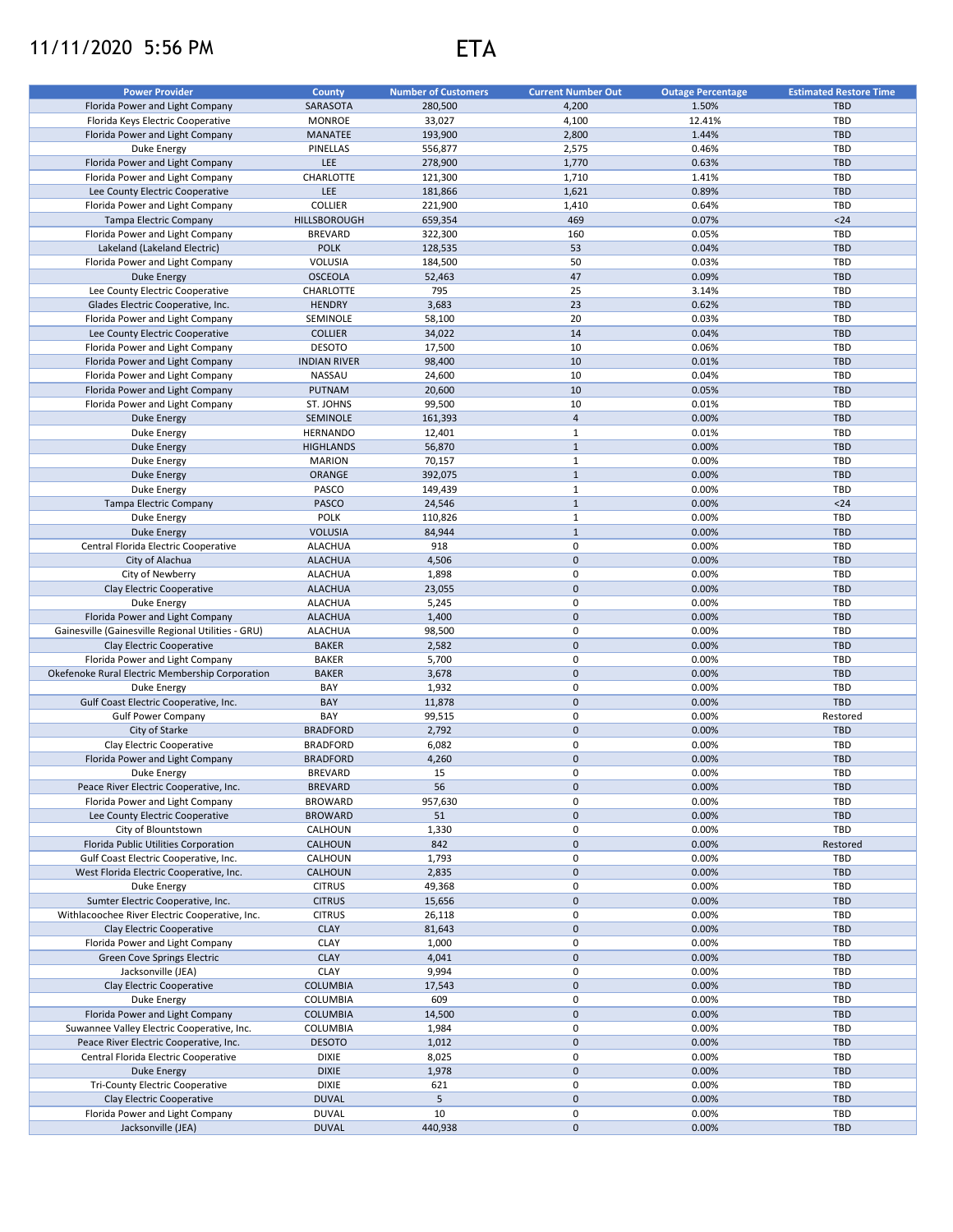## 11/11/2020 5:56 PM ETA



| <b>Power Provider</b>                              | <b>County</b>       | <b>Number of Customers</b> | <b>Current Number Out</b> | <b>Outage Percentage</b> | <b>Estimated Restore Time</b> |
|----------------------------------------------------|---------------------|----------------------------|---------------------------|--------------------------|-------------------------------|
|                                                    |                     |                            |                           |                          |                               |
| Florida Power and Light Company                    | SARASOTA            | 280,500                    | 4,200                     | 1.50%                    | <b>TBD</b>                    |
| Florida Keys Electric Cooperative                  | <b>MONROE</b>       | 33,027                     | 4,100                     | 12.41%                   | TBD                           |
| Florida Power and Light Company                    | <b>MANATEE</b>      | 193,900                    | 2,800                     | 1.44%                    | <b>TBD</b>                    |
| Duke Energy                                        | PINELLAS            | 556,877                    | 2,575                     | 0.46%                    | TBD                           |
| Florida Power and Light Company                    | LEE                 | 278,900                    | 1,770                     | 0.63%                    | <b>TBD</b>                    |
| Florida Power and Light Company                    | CHARLOTTE           | 121,300                    | 1,710                     | 1.41%                    | TBD                           |
| Lee County Electric Cooperative                    | LEE                 | 181,866                    | 1,621                     | 0.89%                    | <b>TBD</b>                    |
|                                                    |                     |                            |                           |                          |                               |
| Florida Power and Light Company                    | COLLIER             | 221,900                    | 1,410                     | 0.64%                    | TBD                           |
| <b>Tampa Electric Company</b>                      | HILLSBOROUGH        | 659,354                    | 469                       | 0.07%                    | $24$                          |
| Florida Power and Light Company                    | <b>BREVARD</b>      | 322,300                    | 160                       | 0.05%                    | TBD                           |
| Lakeland (Lakeland Electric)                       | <b>POLK</b>         | 128,535                    | 53                        | 0.04%                    | <b>TBD</b>                    |
| Florida Power and Light Company                    | VOLUSIA             | 184,500                    | 50                        | 0.03%                    | TBD                           |
| <b>Duke Energy</b>                                 | <b>OSCEOLA</b>      | 52,463                     | 47                        | 0.09%                    | <b>TBD</b>                    |
| Lee County Electric Cooperative                    | CHARLOTTE           | 795                        | 25                        | 3.14%                    | TBD                           |
|                                                    |                     |                            |                           |                          |                               |
| Glades Electric Cooperative, Inc.                  | <b>HENDRY</b>       | 3,683                      | 23                        | 0.62%                    | <b>TBD</b>                    |
| Florida Power and Light Company                    | SEMINOLE            | 58,100                     | 20                        | 0.03%                    | TBD                           |
| Lee County Electric Cooperative                    | <b>COLLIER</b>      | 34,022                     | 14                        | 0.04%                    | <b>TBD</b>                    |
| Florida Power and Light Company                    | <b>DESOTO</b>       | 17,500                     | 10                        | 0.06%                    | TBD                           |
| Florida Power and Light Company                    | <b>INDIAN RIVER</b> | 98,400                     | 10                        | 0.01%                    | TBD                           |
| Florida Power and Light Company                    | NASSAU              | 24,600                     | 10                        | 0.04%                    | TBD                           |
| Florida Power and Light Company                    | <b>PUTNAM</b>       | 20,600                     | 10                        | 0.05%                    | <b>TBD</b>                    |
|                                                    |                     |                            |                           |                          |                               |
| Florida Power and Light Company                    | ST. JOHNS           | 99,500                     | 10                        | 0.01%                    | TBD                           |
| <b>Duke Energy</b>                                 | SEMINOLE            | 161,393                    | $\overline{4}$            | 0.00%                    | <b>TBD</b>                    |
| Duke Energy                                        | HERNANDO            | 12,401                     | $1\,$                     | 0.01%                    | TBD                           |
| <b>Duke Energy</b>                                 | <b>HIGHLANDS</b>    | 56,870                     | $\mathbf{1}$              | 0.00%                    | <b>TBD</b>                    |
| Duke Energy                                        | <b>MARION</b>       | 70,157                     | $\mathbf{1}$              | 0.00%                    | TBD                           |
| <b>Duke Energy</b>                                 | ORANGE              | 392,075                    | $\mathbf{1}$              | 0.00%                    | <b>TBD</b>                    |
| Duke Energy                                        | PASCO               | 149,439                    | $\mathbf 1$               | 0.00%                    | TBD                           |
|                                                    |                     |                            |                           |                          |                               |
| <b>Tampa Electric Company</b>                      | PASCO               | 24,546                     | $\,1\,$                   | 0.00%                    | $24$                          |
| Duke Energy                                        | <b>POLK</b>         | 110,826                    | $\mathbf{1}$              | 0.00%                    | TBD                           |
| <b>Duke Energy</b>                                 | <b>VOLUSIA</b>      | 84,944                     | $\,1\,$                   | 0.00%                    | <b>TBD</b>                    |
| Central Florida Electric Cooperative               | <b>ALACHUA</b>      | 918                        | 0                         | 0.00%                    | TBD                           |
| City of Alachua                                    | <b>ALACHUA</b>      | 4,506                      | $\mathbf 0$               | 0.00%                    | <b>TBD</b>                    |
| City of Newberry                                   | <b>ALACHUA</b>      | 1,898                      | 0                         | 0.00%                    | TBD                           |
| Clay Electric Cooperative                          | <b>ALACHUA</b>      | 23,055                     | $\mathbf 0$               | 0.00%                    | <b>TBD</b>                    |
|                                                    |                     |                            |                           |                          |                               |
| Duke Energy                                        | <b>ALACHUA</b>      | 5,245                      | 0                         | 0.00%                    | TBD                           |
| Florida Power and Light Company                    | <b>ALACHUA</b>      | 1,400                      | $\mathbf 0$               | 0.00%                    | <b>TBD</b>                    |
| Gainesville (Gainesville Regional Utilities - GRU) | <b>ALACHUA</b>      | 98,500                     | 0                         | 0.00%                    | TBD                           |
| Clay Electric Cooperative                          | <b>BAKER</b>        | 2,582                      | $\mathbf 0$               | 0.00%                    | <b>TBD</b>                    |
| Florida Power and Light Company                    | <b>BAKER</b>        | 5,700                      | 0                         | 0.00%                    | TBD                           |
| Okefenoke Rural Electric Membership Corporation    | <b>BAKER</b>        | 3,678                      | $\mathbf 0$               | 0.00%                    | <b>TBD</b>                    |
| Duke Energy                                        | BAY                 | 1,932                      | $\pmb{0}$                 | 0.00%                    | TBD                           |
|                                                    |                     |                            | $\mathbf 0$               | 0.00%                    | <b>TBD</b>                    |
| Gulf Coast Electric Cooperative, Inc.              | BAY                 | 11,878                     |                           |                          |                               |
| <b>Gulf Power Company</b>                          | BAY                 | 99,515                     | 0                         | 0.00%                    | Restored                      |
| City of Starke                                     | <b>BRADFORD</b>     | 2,792                      | $\pmb{0}$                 | 0.00%                    | <b>TBD</b>                    |
| Clay Electric Cooperative                          | <b>BRADFORD</b>     | 6,082                      | 0                         | 0.00%                    | TBD                           |
| Florida Power and Light Company                    | <b>BRADFORD</b>     | 4,260                      | $\pmb{0}$                 | 0.00%                    | <b>TBD</b>                    |
| Duke Energy                                        | <b>BREVARD</b>      | 15                         | $\mathbf 0$               | 0.00%                    | TBD                           |
| Peace River Electric Cooperative, Inc.             | <b>BREVARD</b>      | 56                         | $\mathsf{O}\xspace$       | 0.00%                    | <b>TBD</b>                    |
|                                                    |                     |                            |                           |                          |                               |
| Florida Power and Light Company                    | <b>BROWARD</b>      | 957,630                    | 0                         | 0.00%                    | TBD                           |
| Lee County Electric Cooperative                    | <b>BROWARD</b>      | 51                         | $\mathsf{O}\xspace$       | 0.00%                    | TBD                           |
| City of Blountstown                                | CALHOUN             | 1,330                      | 0                         | 0.00%                    | TBD                           |
| Florida Public Utilities Corporation               | CALHOUN             | 842                        | $\pmb{0}$                 | 0.00%                    | Restored                      |
| Gulf Coast Electric Cooperative, Inc.              | CALHOUN             | 1,793                      | 0                         | 0.00%                    | TBD                           |
| West Florida Electric Cooperative, Inc.            | <b>CALHOUN</b>      | 2,835                      | $\mathbf 0$               | 0.00%                    | TBD                           |
| Duke Energy                                        | <b>CITRUS</b>       | 49,368                     | 0                         | 0.00%                    | TBD                           |
|                                                    |                     |                            | $\mathbf 0$               |                          |                               |
| Sumter Electric Cooperative, Inc.                  | <b>CITRUS</b>       | 15,656                     |                           | 0.00%                    | <b>TBD</b>                    |
| Withlacoochee River Electric Cooperative, Inc.     | <b>CITRUS</b>       | 26,118                     | 0                         | 0.00%                    | TBD                           |
| Clay Electric Cooperative                          | <b>CLAY</b>         | 81,643                     | $\mathbf 0$               | 0.00%                    | <b>TBD</b>                    |
| Florida Power and Light Company                    | CLAY                | 1,000                      | 0                         | 0.00%                    | TBD                           |
| Green Cove Springs Electric                        | <b>CLAY</b>         | 4,041                      | $\pmb{0}$                 | 0.00%                    | <b>TBD</b>                    |
| Jacksonville (JEA)                                 | <b>CLAY</b>         | 9,994                      | 0                         | 0.00%                    | TBD                           |
| Clay Electric Cooperative                          | COLUMBIA            | 17,543                     | $\pmb{0}$                 | 0.00%                    | <b>TBD</b>                    |
|                                                    |                     |                            |                           |                          |                               |
| Duke Energy                                        | COLUMBIA            | 609                        | 0                         | 0.00%                    | TBD                           |
| Florida Power and Light Company                    | <b>COLUMBIA</b>     | 14,500                     | $\mathbf 0$               | 0.00%                    | <b>TBD</b>                    |
| Suwannee Valley Electric Cooperative, Inc.         | COLUMBIA            | 1,984                      | $\pmb{0}$                 | 0.00%                    | TBD                           |
| Peace River Electric Cooperative, Inc.             | <b>DESOTO</b>       | 1,012                      | $\pmb{0}$                 | 0.00%                    | <b>TBD</b>                    |
| Central Florida Electric Cooperative               | <b>DIXIE</b>        | 8,025                      | 0                         | 0.00%                    | TBD                           |
| <b>Duke Energy</b>                                 | <b>DIXIE</b>        | 1,978                      | $\pmb{0}$                 | 0.00%                    | <b>TBD</b>                    |
| Tri-County Electric Cooperative                    | <b>DIXIE</b>        | 621                        | 0                         | 0.00%                    | TBD                           |
|                                                    |                     |                            |                           |                          |                               |
| Clay Electric Cooperative                          | <b>DUVAL</b>        | 5                          | $\pmb{0}$                 | 0.00%                    | <b>TBD</b>                    |
| Florida Power and Light Company                    | <b>DUVAL</b>        | 10                         | 0                         | 0.00%                    | TBD                           |
| Jacksonville (JEA)                                 | <b>DUVAL</b>        | 440,938                    | $\mathsf{O}\xspace$       | 0.00%                    | <b>TBD</b>                    |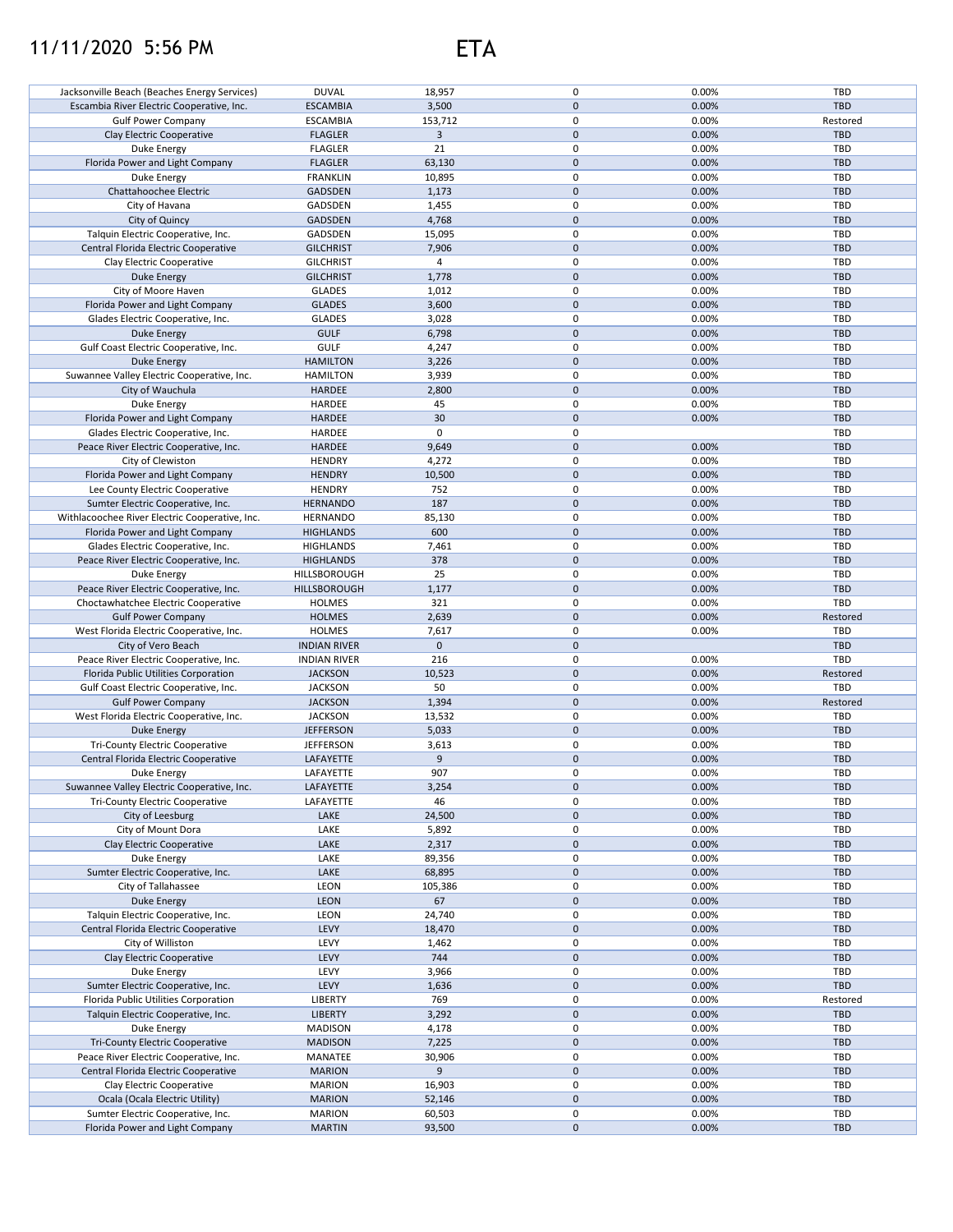## 11/11/2020 5:56 PM ETA



| Jacksonville Beach (Beaches Energy Services)   | <b>DUVAL</b>                   | 18,957           | 0                   | 0.00%          | <b>TBD</b>        |
|------------------------------------------------|--------------------------------|------------------|---------------------|----------------|-------------------|
| Escambia River Electric Cooperative, Inc.      | <b>ESCAMBIA</b>                | 3,500            | $\pmb{0}$           | 0.00%          | <b>TBD</b>        |
|                                                |                                |                  | 0                   | 0.00%          |                   |
| <b>Gulf Power Company</b>                      | <b>ESCAMBIA</b>                | 153,712          |                     |                | Restored          |
| Clay Electric Cooperative                      | <b>FLAGLER</b>                 | $\mathbf{3}$     | 0                   | 0.00%          | <b>TBD</b>        |
| Duke Energy                                    | <b>FLAGLER</b>                 | 21               | 0                   | 0.00%          | TBD               |
| Florida Power and Light Company                | <b>FLAGLER</b>                 | 63,130           | 0                   | 0.00%          | <b>TBD</b>        |
| Duke Energy                                    | <b>FRANKLIN</b>                | 10,895           | 0                   | 0.00%          | <b>TBD</b>        |
|                                                |                                |                  |                     |                |                   |
| Chattahoochee Electric                         | <b>GADSDEN</b>                 | 1,173            | $\mathbf 0$         | 0.00%          | <b>TBD</b>        |
| City of Havana                                 | GADSDEN                        | 1,455            | 0                   | 0.00%          | <b>TBD</b>        |
| City of Quincy                                 | GADSDEN                        | 4,768            | $\mathbf 0$         | 0.00%          | <b>TBD</b>        |
| Talquin Electric Cooperative, Inc.             | GADSDEN                        | 15,095           | $\mathsf 0$         | 0.00%          | <b>TBD</b>        |
|                                                |                                |                  |                     |                |                   |
| Central Florida Electric Cooperative           | <b>GILCHRIST</b>               | 7,906            | $\pmb{0}$           | 0.00%          | <b>TBD</b>        |
| Clay Electric Cooperative                      | <b>GILCHRIST</b>               | 4                | $\pmb{0}$           | 0.00%          | TBD               |
| <b>Duke Energy</b>                             | <b>GILCHRIST</b>               | 1,778            | $\mathsf{O}\xspace$ | 0.00%          | <b>TBD</b>        |
| City of Moore Haven                            | <b>GLADES</b>                  | 1,012            | $\pmb{0}$           | 0.00%          | <b>TBD</b>        |
| Florida Power and Light Company                | <b>GLADES</b>                  | 3,600            | $\mathsf{O}\xspace$ | 0.00%          | <b>TBD</b>        |
|                                                |                                |                  |                     |                |                   |
| Glades Electric Cooperative, Inc.              | <b>GLADES</b>                  | 3,028            | $\pmb{0}$           | 0.00%          | TBD               |
| <b>Duke Energy</b>                             | <b>GULF</b>                    | 6,798            | $\mathsf{O}\xspace$ | 0.00%          | <b>TBD</b>        |
| Gulf Coast Electric Cooperative, Inc.          | <b>GULF</b>                    | 4,247            | 0                   | 0.00%          | TBD               |
| <b>Duke Energy</b>                             | <b>HAMILTON</b>                | 3,226            | 0                   | 0.00%          | <b>TBD</b>        |
|                                                |                                |                  |                     |                |                   |
| Suwannee Valley Electric Cooperative, Inc.     | <b>HAMILTON</b>                | 3,939            | 0                   | 0.00%          | <b>TBD</b>        |
| City of Wauchula                               | <b>HARDEE</b>                  | 2,800            | $\overline{0}$      | 0.00%          | <b>TBD</b>        |
| Duke Energy                                    | <b>HARDEE</b>                  | 45               | 0                   | 0.00%          | <b>TBD</b>        |
| Florida Power and Light Company                | <b>HARDEE</b>                  | 30               | $\mathbf 0$         | 0.00%          | <b>TBD</b>        |
|                                                |                                |                  |                     |                |                   |
| Glades Electric Cooperative, Inc.              | <b>HARDEE</b>                  | 0                | 0                   |                | TBD               |
| Peace River Electric Cooperative, Inc.         | <b>HARDEE</b>                  | 9,649            | $\mathbf 0$         | 0.00%          | <b>TBD</b>        |
| City of Clewiston                              | <b>HENDRY</b>                  | 4,272            | 0                   | 0.00%          | TBD               |
| Florida Power and Light Company                | <b>HENDRY</b>                  | 10,500           | $\pmb{0}$           | 0.00%          | <b>TBD</b>        |
|                                                |                                |                  |                     |                |                   |
| Lee County Electric Cooperative                | <b>HENDRY</b>                  | 752              | 0                   | 0.00%          | <b>TBD</b>        |
| Sumter Electric Cooperative, Inc.              | <b>HERNANDO</b>                | 187              | $\pmb{0}$           | 0.00%          | <b>TBD</b>        |
| Withlacoochee River Electric Cooperative, Inc. | HERNANDO                       | 85,130           | 0                   | 0.00%          | TBD               |
| Florida Power and Light Company                | <b>HIGHLANDS</b>               | 600              | $\pmb{0}$           | 0.00%          | <b>TBD</b>        |
|                                                |                                |                  |                     |                |                   |
| Glades Electric Cooperative, Inc.              | <b>HIGHLANDS</b>               | 7,461            | 0                   | 0.00%          | TBD               |
| Peace River Electric Cooperative, Inc.         | <b>HIGHLANDS</b>               | 378              | $\mathbf 0$         | 0.00%          | <b>TBD</b>        |
| Duke Energy                                    | HILLSBOROUGH                   | 25               | 0                   | 0.00%          | <b>TBD</b>        |
| Peace River Electric Cooperative, Inc.         | HILLSBOROUGH                   | 1,177            | $\mathbf 0$         | 0.00%          | <b>TBD</b>        |
|                                                |                                |                  |                     |                |                   |
|                                                |                                |                  |                     |                |                   |
| Choctawhatchee Electric Cooperative            | <b>HOLMES</b>                  | 321              | $\mathsf 0$         | 0.00%          | TBD               |
| <b>Gulf Power Company</b>                      | <b>HOLMES</b>                  | 2,639            | $\pmb{0}$           | 0.00%          | Restored          |
| West Florida Electric Cooperative, Inc.        | HOLMES                         | 7,617            | $\mathsf 0$         | 0.00%          | TBD               |
|                                                |                                |                  |                     |                |                   |
| City of Vero Beach                             | <b>INDIAN RIVER</b>            | $\mathbf 0$      | $\mathsf{O}\xspace$ |                | <b>TBD</b>        |
| Peace River Electric Cooperative, Inc.         | <b>INDIAN RIVER</b>            | 216              | $\mathsf 0$         | 0.00%          | <b>TBD</b>        |
| Florida Public Utilities Corporation           | <b>JACKSON</b>                 | 10,523           | $\mathsf{O}\xspace$ | 0.00%          | Restored          |
| Gulf Coast Electric Cooperative, Inc.          | <b>JACKSON</b>                 | 50               | $\mathsf 0$         | 0.00%          | TBD               |
|                                                |                                |                  | $\pmb{0}$           |                |                   |
| <b>Gulf Power Company</b>                      | <b>JACKSON</b>                 | 1,394            |                     | 0.00%          | Restored          |
| West Florida Electric Cooperative, Inc.        | <b>JACKSON</b>                 | 13,532           | 0                   | 0.00%          | TBD               |
| <b>Duke Energy</b>                             | <b>JEFFERSON</b>               | 5,033            | 0                   | 0.00%          | <b>TBD</b>        |
| <b>Tri-County Electric Cooperative</b>         | <b>JEFFERSON</b>               | 3,613            | 0                   | 0.00%          | <b>TBD</b>        |
| Central Florida Electric Cooperative           | LAFAYETTE                      | 9                | $\pmb{0}$           | 0.00%          | <b>TBD</b>        |
|                                                |                                |                  |                     |                |                   |
| Duke Energy                                    | LAFAYETTE                      | 907              | 0                   | 0.00%          | TBD               |
| Suwannee Valley Electric Cooperative, Inc.     | LAFAYETTE                      | 3,254            | 0                   | 0.00%          | <b>TBD</b>        |
| <b>Tri-County Electric Cooperative</b>         | LAFAYETTE                      | 46               | 0                   | 0.00%          | TBD               |
| City of Leesburg                               | LAKE                           | 24,500           | 0                   | 0.00%          | TBD               |
|                                                |                                |                  |                     |                | TBD               |
| City of Mount Dora                             | LAKE                           | 5,892            | 0                   | 0.00%          |                   |
| Clay Electric Cooperative                      | LAKE                           | 2,317            | 0                   | 0.00%          | <b>TBD</b>        |
| Duke Energy                                    | LAKE                           | 89,356           | 0                   | 0.00%          | TBD               |
| Sumter Electric Cooperative, Inc.              | LAKE                           | 68,895           | 0                   | 0.00%          | <b>TBD</b>        |
| City of Tallahassee                            | LEON                           |                  | 0                   | 0.00%          | TBD               |
|                                                |                                | 105,386          |                     |                |                   |
| Duke Energy                                    | <b>LEON</b>                    | 67               | $\pmb{0}$           | 0.00%          | <b>TBD</b>        |
| Talquin Electric Cooperative, Inc.             | LEON                           | 24,740           | 0                   | 0.00%          | TBD               |
| Central Florida Electric Cooperative           | LEVY                           | 18,470           | 0                   | 0.00%          | <b>TBD</b>        |
| City of Williston                              | LEVY                           | 1,462            | 0                   | 0.00%          | TBD               |
|                                                |                                |                  |                     |                |                   |
| Clay Electric Cooperative                      | LEVY                           | 744              | $\pmb{0}$           | 0.00%          | <b>TBD</b>        |
| Duke Energy                                    | LEVY                           | 3,966            | 0                   | 0.00%          | TBD               |
| Sumter Electric Cooperative, Inc.              | LEVY                           | 1,636            | 0                   | 0.00%          | TBD               |
| Florida Public Utilities Corporation           | LIBERTY                        | 769              | 0                   | 0.00%          | Restored          |
|                                                |                                |                  |                     |                | <b>TBD</b>        |
| Talquin Electric Cooperative, Inc.             | <b>LIBERTY</b>                 | 3,292            | 0                   | 0.00%          |                   |
| Duke Energy                                    | <b>MADISON</b>                 | 4,178            | 0                   | 0.00%          | TBD               |
| <b>Tri-County Electric Cooperative</b>         | <b>MADISON</b>                 | 7,225            | 0                   | 0.00%          | <b>TBD</b>        |
| Peace River Electric Cooperative, Inc.         | MANATEE                        | 30,906           | 0                   | 0.00%          | TBD               |
| Central Florida Electric Cooperative           | <b>MARION</b>                  | 9                | 0                   | 0.00%          | TBD               |
|                                                |                                |                  |                     |                |                   |
| Clay Electric Cooperative                      | <b>MARION</b>                  | 16,903           | 0                   | 0.00%          | TBD               |
| Ocala (Ocala Electric Utility)                 | <b>MARION</b>                  | 52,146           | 0                   | 0.00%          | <b>TBD</b>        |
| Sumter Electric Cooperative, Inc.              | <b>MARION</b><br><b>MARTIN</b> | 60,503<br>93,500 | 0<br>0              | 0.00%<br>0.00% | TBD<br><b>TBD</b> |